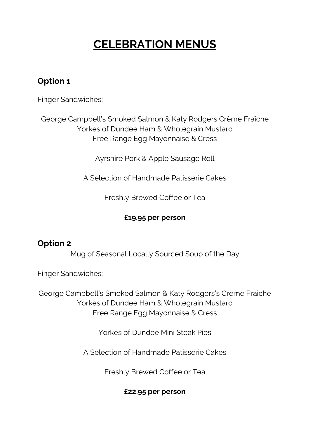# **CELEBRATION MENUS**

## **Option 1**

Finger Sandwiches:

George Campbell's Smoked Salmon & Katy Rodgers Crème Fraîche Yorkes of Dundee Ham & Wholegrain Mustard Free Range Egg Mayonnaise & Cress

Ayrshire Pork & Apple Sausage Roll

A Selection of Handmade Patisserie Cakes

Freshly Brewed Coffee or Tea

## **£19.95 per person**

## **Option 2**

Mug of Seasonal Locally Sourced Soup of the Day

Finger Sandwiches:

George Campbell's Smoked Salmon & Katy Rodgers's Crème Fraîche Yorkes of Dundee Ham & Wholegrain Mustard Free Range Egg Mayonnaise & Cress

Yorkes of Dundee Mini Steak Pies

A Selection of Handmade Patisserie Cakes

Freshly Brewed Coffee or Tea

### **£22.95 per person**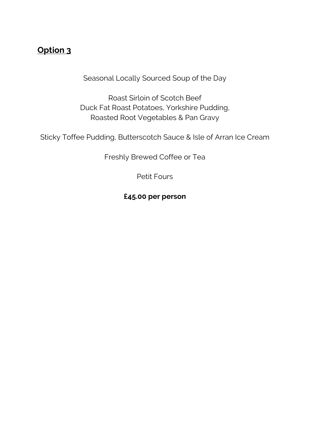# **Option 3**

Seasonal Locally Sourced Soup of the Day

Roast Sirloin of Scotch Beef Duck Fat Roast Potatoes, Yorkshire Pudding, Roasted Root Vegetables & Pan Gravy

Sticky Toffee Pudding, Butterscotch Sauce & Isle of Arran Ice Cream

Freshly Brewed Coffee or Tea

Petit Fours

**£45.00 per person**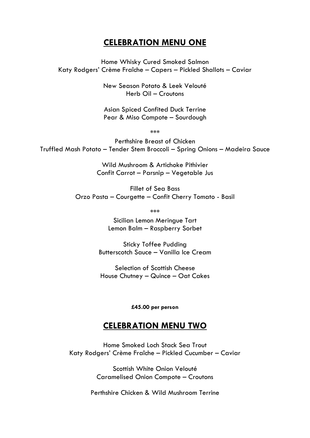#### **CELEBRATION MENU ONE**

Home Whisky Cured Smoked Salmon Katy Rodgers' Crème Fraîche – Capers – Pickled Shallots – Caviar

> New Season Potato & Leek Velouté Herb Oil – Croutons

> Asian Spiced Confited Duck Terrine Pear & Miso Compote – Sourdough

> > \*\*\*

Perthshire Breast of Chicken Truffled Mash Potato – Tender Stem Broccoli – Spring Onions – Madeira Sauce

> Wild Mushroom & Artichoke Pithivier Confit Carrot – Parsnip – Vegetable Jus

Fillet of Sea Bass Orzo Pasta – Courgette – Confit Cherry Tomato - Basil

\*\*\*

Sicilian Lemon Meringue Tart Lemon Balm – Raspberry Sorbet

Sticky Toffee Pudding Butterscotch Sauce – Vanilla Ice Cream

Selection of Scottish Cheese House Chutney – Quince – Oat Cakes

**£45.00 per person**

#### **CELEBRATION MENU TWO**

Home Smoked Loch Stack Sea Trout Katy Rodgers' Crème Fraîche – Pickled Cucumber – Caviar

> Scottish White Onion Velouté Caramelised Onion Compote – Croutons

Perthshire Chicken & Wild Mushroom Terrine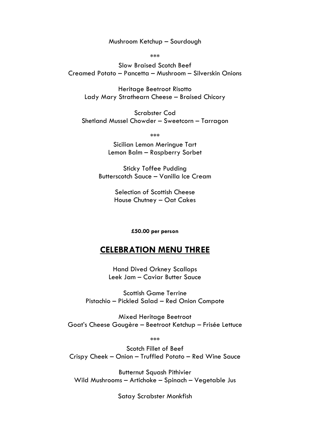Mushroom Ketchup – Sourdough

\*\*\*

Slow Braised Scotch Beef Creamed Potato – Pancetta – Mushroom – Silverskin Onions

Heritage Beetroot Risotto Lady Mary Strathearn Cheese – Braised Chicory

Scrabster Cod Shetland Mussel Chowder – Sweetcorn – Tarragon

\*\*\*

Sicilian Lemon Meringue Tart Lemon Balm – Raspberry Sorbet

Sticky Toffee Pudding Butterscotch Sauce – Vanilla Ice Cream

> Selection of Scottish Cheese House Chutney – Oat Cakes

> > **£50.00 per person**

#### **CELEBRATION MENU THREE**

Hand Dived Orkney Scallops Leek Jam – Caviar Butter Sauce

Scottish Game Terrine Pistachio – Pickled Salad – Red Onion Compote

Mixed Heritage Beetroot Goat's Cheese Gougère – Beetroot Ketchup – Frisée Lettuce

\*\*\*

Scotch Fillet of Beef Crispy Cheek – Onion – Truffled Potato – Red Wine Sauce

Butternut Squash Pithivier Wild Mushrooms – Artichoke – Spinach – Vegetable Jus

Satay Scrabster Monkfish